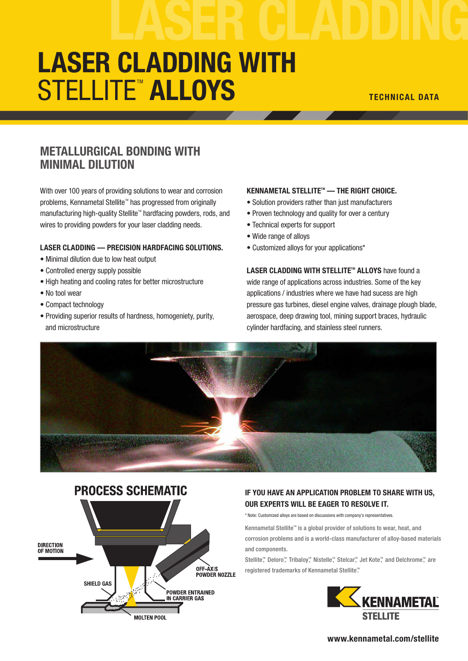# LASER CLADDING WITH STELLITE<sup>tm</sup> ALLOYS TECHNICAL DATA

## METALLURGICAL BONDING WITH MINIMAL DILUTION

With over 100 years of providing solutions to wear and corrosion problems, Kennametal Stellite™ has progressed from originally manufacturing high-quality Stellite<sup>™</sup> hardfacing powders, rods, and wires to providing powders for your laser cladding needs.

#### LASER CLADDING — PRECISION HARDFACING SOLUTIONS.

- Minimal dilution due to low heat output
- Controlled energy supply possible
- High heating and cooling rates for better microstructure
- No tool wear
- Compact technology
- Providing superior results of hardness, homogeniety, purity, and microstructure

#### KENNAMETAL STELLITE™ — THE RIGHT CHOICE.

- Solution providers rather than just manufacturers
- Proven technology and quality for over a century
- Technical experts for support
- Wide range of alloys
- Customized alloys for your applications\*

LASER CLADDING WITH STELLITE<sup>TM</sup> ALLOYS have found a wide range of applications across industries. Some of the key applications / industries where we have had sucess are high pressure gas turbines, diesel engine valves, drainage plough blade, aerospace, deep drawing tool, mining support braces, hydraulic cylinder hardfacing, and stainless steel runners.





### IF YOU HAVE AN APPLICATION PROBLEM TO SHARE WITH US, OUR EXPERTS WILL BE EAGER TO RESOLVE IT.

\* Note: Customized alloys are based on discussions with company's representatives.

Kennametal Stellite<sup>™</sup> is a global provider of solutions to wear, heat, and corrosion problems and is a world-class manufacturer of alloy-based materials and components.

Stellite<sup>™</sup>, Deloro<sup>™</sup>, Tribaloy<sup>™</sup>, Nistelle<sup>™</sup>, Stelcar<sup>™</sup>, Jet Kote™, and Delchrome™, are registered trademarks of Kennametal Stellite".



#### www.kennametal.com/stellite